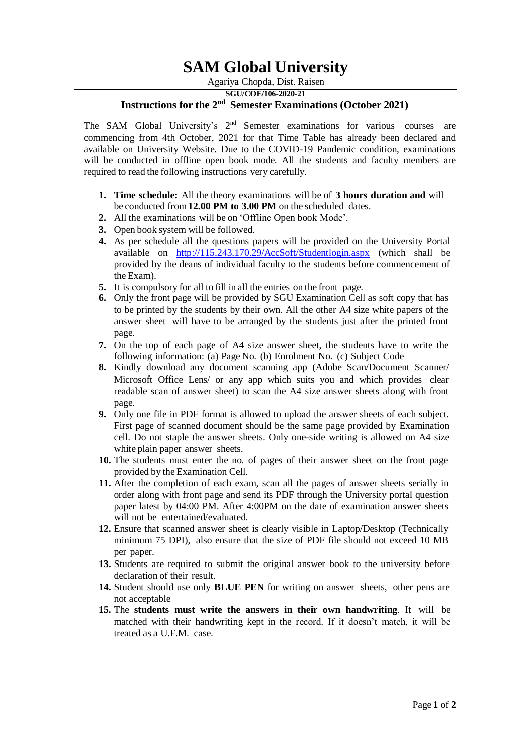## **SAM Global University**

Agariya Chopda, Dist. Raisen

**SGU/COE/106-2020-21**

## **Instructions for the 2 nd Semester Examinations (October 2021)**

The SAM Global University's  $2<sup>nd</sup>$  Semester examinations for various courses are commencing from 4th October, 2021 for that Time Table has already been declared and available on University Website. Due to the COVID-19 Pandemic condition, examinations will be conducted in offline open book mode. All the students and faculty members are required to read the following instructions very carefully.

- **1. Time schedule:** All the theory examinations will be of **3 hours duration and** will be conducted from**12.00 PM to 3.00 PM** on the scheduled dates.
- **2.** All the examinations will be on 'Offline Open book Mode'.
- **3.** Open book system will be followed.
- **4.** As per schedule all the questions papers will be provided on the University Portal available on <http://115.243.170.29/AccSoft/Studentlogin.aspx> (which shall be provided by the deans of individual faculty to the students before commencement of the Exam).
- **5.** It is compulsory for all to fill in all the entries on the front page.
- **6.** Only the front page will be provided by SGU Examination Cell as soft copy that has to be printed by the students by their own. All the other A4 size white papers of the answer sheet will have to be arranged by the students just after the printed front page.
- **7.** On the top of each page of A4 size answer sheet, the students have to write the following information: (a) Page No. (b) Enrolment No. (c) Subject Code
- **8.** Kindly download any document scanning app (Adobe Scan/Document Scanner/ Microsoft Office Lens/ or any app which suits you and which provides clear readable scan of answer sheet) to scan the A4 size answer sheets along with front page.
- **9.** Only one file in PDF format is allowed to upload the answer sheets of each subject. First page of scanned document should be the same page provided by Examination cell. Do not staple the answer sheets. Only one-side writing is allowed on A4 size white plain paper answer sheets.
- **10.** The students must enter the no. of pages of their answer sheet on the front page provided by the Examination Cell.
- **11.** After the completion of each exam, scan all the pages of answer sheets serially in order along with front page and send its PDF through the University portal question paper latest by 04:00 PM. After 4:00PM on the date of examination answer sheets will not be entertained/evaluated.
- **12.** Ensure that scanned answer sheet is clearly visible in Laptop/Desktop (Technically minimum 75 DPI), also ensure that the size of PDF file should not exceed 10 MB per paper.
- **13.** Students are required to submit the original answer book to the university before declaration of their result.
- **14.** Student should use only **BLUE PEN** for writing on answer sheets, other pens are not acceptable
- **15.** The **students must write the answers in their own handwriting**. It will be matched with their handwriting kept in the record. If it doesn't match, it will be treated as a U.F.M. case.